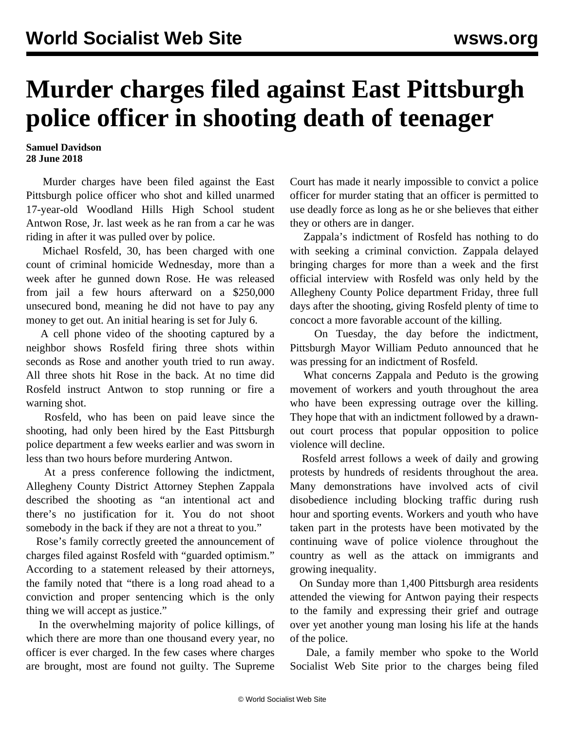## **Murder charges filed against East Pittsburgh police officer in shooting death of teenager**

## **Samuel Davidson 28 June 2018**

 Murder charges have been filed against the East Pittsburgh police officer who shot and killed unarmed 17-year-old Woodland Hills High School student Antwon Rose, Jr. last week as he ran from a car he was riding in after it was pulled over by police.

 Michael Rosfeld, 30, has been charged with one count of criminal homicide Wednesday, more than a week after he gunned down Rose. He was released from jail a few hours afterward on a \$250,000 unsecured bond, meaning he did not have to pay any money to get out. An initial hearing is set for July 6.

 A cell phone video of the shooting captured by a neighbor shows Rosfeld firing three shots within seconds as Rose and another youth tried to run away. All three shots hit Rose in the back. At no time did Rosfeld instruct Antwon to stop running or fire a warning shot.

 Rosfeld, who has been on paid leave since the shooting, had only been hired by the East Pittsburgh police department a few weeks earlier and was sworn in less than two hours before murdering Antwon.

 At a press conference following the indictment, Allegheny County District Attorney Stephen Zappala described the shooting as "an intentional act and there's no justification for it. You do not shoot somebody in the back if they are not a threat to you."

 Rose's family correctly greeted the announcement of charges filed against Rosfeld with "guarded optimism." According to a statement released by their attorneys, the family noted that "there is a long road ahead to a conviction and proper sentencing which is the only thing we will accept as justice."

 In the overwhelming majority of police killings, of which there are more than one thousand every year, no officer is ever charged. In the few cases where charges are brought, most are found not guilty. The Supreme

Court has made it nearly impossible to convict a police officer for murder stating that an officer is permitted to use deadly force as long as he or she believes that either they or others are in danger.

 Zappala's indictment of Rosfeld has nothing to do with seeking a criminal conviction. Zappala delayed bringing charges for more than a week and the first official interview with Rosfeld was only held by the Allegheny County Police department Friday, three full days after the shooting, giving Rosfeld plenty of time to concoct a more favorable account of the killing.

 On Tuesday, the day before the indictment, Pittsburgh Mayor William Peduto announced that he was pressing for an indictment of Rosfeld.

 What concerns Zappala and Peduto is the growing movement of workers and youth throughout the area who have been expressing outrage over the killing. They hope that with an indictment followed by a drawnout court process that popular opposition to police violence will decline.

 Rosfeld arrest follows a week of daily and growing protests by hundreds of residents throughout the area. Many demonstrations have involved acts of civil disobedience including blocking traffic during rush hour and sporting events. Workers and youth who have taken part in the protests have been motivated by the continuing wave of police violence throughout the country as well as the attack on immigrants and growing inequality.

 On Sunday more than 1,400 Pittsburgh area residents attended the viewing for Antwon paying their respects to the family and expressing their grief and outrage over yet another young man losing his life at the hands of the police.

 Dale, a family member who spoke to the World Socialist Web Site prior to the charges being filed